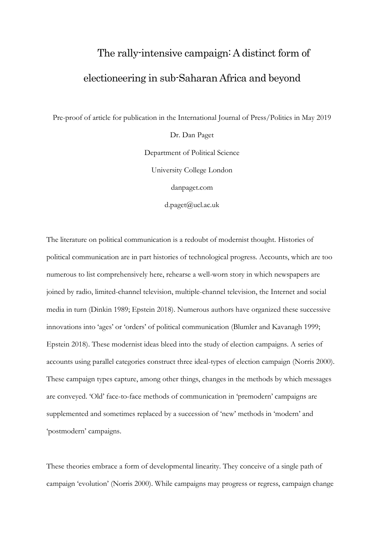# The rally-intensive campaign: A distinct form of electioneering in sub-Saharan Africa and beyond

Pre-proof of article for publication in the International Journal of Press/Politics in May 2019

Dr. Dan Paget Department of Political Science University College London danpaget.com

d.paget@ucl.ac.uk

The literature on political communication is a redoubt of modernist thought. Histories of political communication are in part histories of technological progress. Accounts, which are too numerous to list comprehensively here, rehearse a well-worn story in which newspapers are joined by radio, limited-channel television, multiple-channel television, the Internet and social media in turn (Dinkin 1989; Epstein 2018). Numerous authors have organized these successive innovations into 'ages' or 'orders' of political communication (Blumler and Kavanagh 1999; Epstein 2018). These modernist ideas bleed into the study of election campaigns. A series of accounts using parallel categories construct three ideal-types of election campaign (Norris 2000). These campaign types capture, among other things, changes in the methods by which messages are conveyed. 'Old' face-to-face methods of communication in 'premodern' campaigns are supplemented and sometimes replaced by a succession of 'new' methods in 'modern' and 'postmodern' campaigns.

These theories embrace a form of developmental linearity. They conceive of a single path of campaign 'evolution' (Norris 2000). While campaigns may progress or regress, campaign change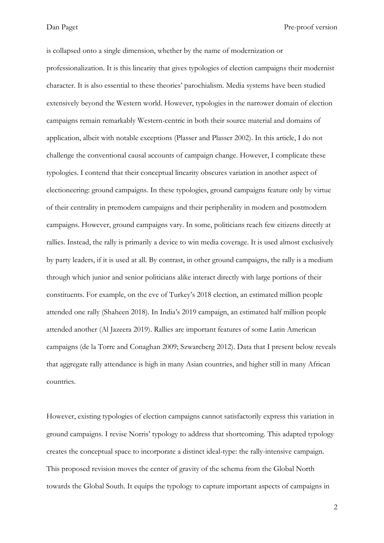is collapsed onto a single dimension, whether by the name of modernization or professionalization. It is this linearity that gives typologies of election campaigns their modernist character. It is also essential to these theories' parochialism. Media systems have been studied extensively beyond the Western world. However, typologies in the narrower domain of election campaigns remain remarkably Western-centric in both their source material and domains of application, albeit with notable exceptions (Plasser and Plasser 2002). In this article, I do not challenge the conventional causal accounts of campaign change. However, I complicate these typologies. I contend that their conceptual linearity obscures variation in another aspect of electioneering: ground campaigns. In these typologies, ground campaigns feature only by virtue of their centrality in premodern campaigns and their peripherality in modern and postmodern campaigns. However, ground campaigns vary. In some, politicians reach few citizens directly at rallies. Instead, the rally is primarily a device to win media coverage. It is used almost exclusively by party leaders, if it is used at all. By contrast, in other ground campaigns, the rally is a medium through which junior and senior politicians alike interact directly with large portions of their constituents. For example, on the eve of Turkey's 2018 election, an estimated million people attended one rally (Shaheen 2018). In India's 2019 campaign, an estimated half million people attended another (Al Jazeera 2019). Rallies are important features of some Latin American campaigns (de la Torre and Conaghan 2009; Szwarcberg 2012). Data that I present below reveals that aggregate rally attendance is high in many Asian countries, and higher still in many African countries.

However, existing typologies of election campaigns cannot satisfactorily express this variation in ground campaigns. I revise Norris' typology to address that shortcoming. This adapted typology creates the conceptual space to incorporate a distinct ideal-type: the rally-intensive campaign. This proposed revision moves the center of gravity of the schema from the Global North towards the Global South. It equips the typology to capture important aspects of campaigns in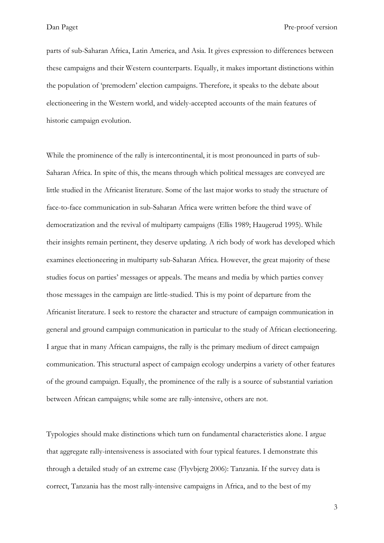parts of sub-Saharan Africa, Latin America, and Asia. It gives expression to differences between these campaigns and their Western counterparts. Equally, it makes important distinctions within the population of 'premodern' election campaigns. Therefore, it speaks to the debate about electioneering in the Western world, and widely-accepted accounts of the main features of historic campaign evolution.

While the prominence of the rally is intercontinental, it is most pronounced in parts of sub-Saharan Africa. In spite of this, the means through which political messages are conveyed are little studied in the Africanist literature. Some of the last major works to study the structure of face-to-face communication in sub-Saharan Africa were written before the third wave of democratization and the revival of multiparty campaigns (Ellis 1989; Haugerud 1995). While their insights remain pertinent, they deserve updating. A rich body of work has developed which examines electioneering in multiparty sub-Saharan Africa. However, the great majority of these studies focus on parties' messages or appeals. The means and media by which parties convey those messages in the campaign are little-studied. This is my point of departure from the Africanist literature. I seek to restore the character and structure of campaign communication in general and ground campaign communication in particular to the study of African electioneering. I argue that in many African campaigns, the rally is the primary medium of direct campaign communication. This structural aspect of campaign ecology underpins a variety of other features of the ground campaign. Equally, the prominence of the rally is a source of substantial variation between African campaigns; while some are rally-intensive, others are not.

Typologies should make distinctions which turn on fundamental characteristics alone. I argue that aggregate rally-intensiveness is associated with four typical features. I demonstrate this through a detailed study of an extreme case (Flyvbjerg 2006): Tanzania. If the survey data is correct, Tanzania has the most rally-intensive campaigns in Africa, and to the best of my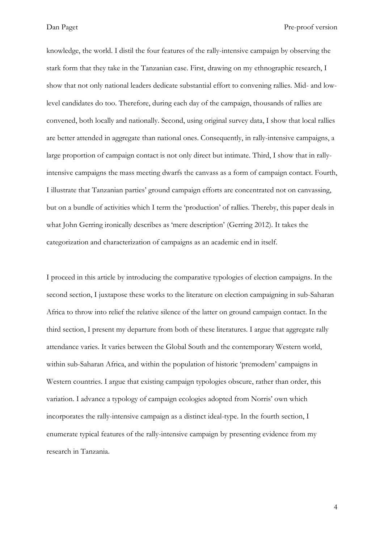knowledge, the world. I distil the four features of the rally-intensive campaign by observing the stark form that they take in the Tanzanian case. First, drawing on my ethnographic research, I show that not only national leaders dedicate substantial effort to convening rallies. Mid- and lowlevel candidates do too. Therefore, during each day of the campaign, thousands of rallies are convened, both locally and nationally. Second, using original survey data, I show that local rallies are better attended in aggregate than national ones. Consequently, in rally-intensive campaigns, a large proportion of campaign contact is not only direct but intimate. Third, I show that in rallyintensive campaigns the mass meeting dwarfs the canvass as a form of campaign contact. Fourth, I illustrate that Tanzanian parties' ground campaign efforts are concentrated not on canvassing, but on a bundle of activities which I term the 'production' of rallies. Thereby, this paper deals in what John Gerring ironically describes as 'mere description' (Gerring 2012). It takes the categorization and characterization of campaigns as an academic end in itself.

I proceed in this article by introducing the comparative typologies of election campaigns. In the second section, I juxtapose these works to the literature on election campaigning in sub-Saharan Africa to throw into relief the relative silence of the latter on ground campaign contact. In the third section, I present my departure from both of these literatures. I argue that aggregate rally attendance varies. It varies between the Global South and the contemporary Western world, within sub-Saharan Africa, and within the population of historic 'premodern' campaigns in Western countries. I argue that existing campaign typologies obscure, rather than order, this variation. I advance a typology of campaign ecologies adopted from Norris' own which incorporates the rally-intensive campaign as a distinct ideal-type. In the fourth section, I enumerate typical features of the rally-intensive campaign by presenting evidence from my research in Tanzania.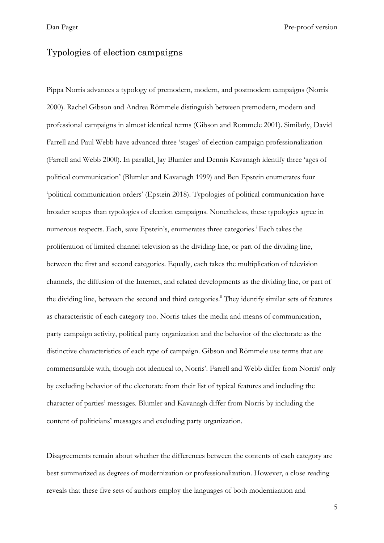#### Typologies of election campaigns

Pippa Norris advances a typology of premodern, modern, and postmodern campaigns (Norris 2000). Rachel Gibson and Andrea Römmele distinguish between premodern, modern and professional campaigns in almost identical terms (Gibson and Rommele 2001). Similarly, David Farrell and Paul Webb have advanced three 'stages' of election campaign professionalization (Farrell and Webb 2000). In parallel, Jay Blumler and Dennis Kavanagh identify three 'ages of political communication' (Blumler and Kavanagh 1999) and Ben Epstein enumerates four 'political communication orders' (Epstein 2018). Typologies of political communication have broader scopes than typologies of election campaigns. Nonetheless, these typologies agree in numerous respects. Each, save Epstein's, enumerates three categories.<sup>i</sup> Each takes the proliferation of limited channel television as the dividing line, or part of the dividing line, between the first and second categories. Equally, each takes the multiplication of television channels, the diffusion of the Internet, and related developments as the dividing line, or part of the dividing line, between the second and third categories.<sup>ii</sup> They identify similar sets of features as characteristic of each category too. Norris takes the media and means of communication, party campaign activity, political party organization and the behavior of the electorate as the distinctive characteristics of each type of campaign. Gibson and Römmele use terms that are commensurable with, though not identical to, Norris'. Farrell and Webb differ from Norris' only by excluding behavior of the electorate from their list of typical features and including the character of parties' messages. Blumler and Kavanagh differ from Norris by including the content of politicians' messages and excluding party organization.

Disagreements remain about whether the differences between the contents of each category are best summarized as degrees of modernization or professionalization. However, a close reading reveals that these five sets of authors employ the languages of both modernization and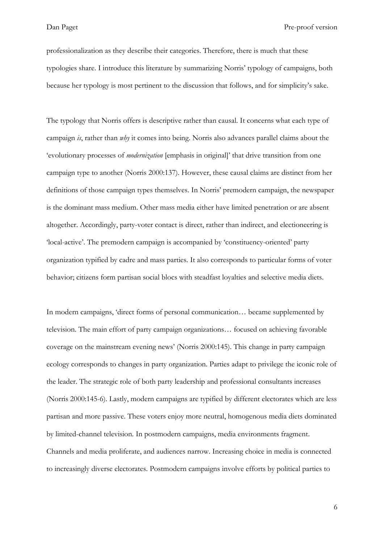professionalization as they describe their categories. Therefore, there is much that these typologies share. I introduce this literature by summarizing Norris' typology of campaigns, both because her typology is most pertinent to the discussion that follows, and for simplicity's sake.

The typology that Norris offers is descriptive rather than causal. It concerns what each type of campaign *is*, rather than *why* it comes into being. Norris also advances parallel claims about the 'evolutionary processes of *modernization* [emphasis in original]' that drive transition from one campaign type to another (Norris 2000:137). However, these causal claims are distinct from her definitions of those campaign types themselves. In Norris' premodern campaign, the newspaper is the dominant mass medium. Other mass media either have limited penetration or are absent altogether. Accordingly, party-voter contact is direct, rather than indirect, and electioneering is 'local-active'. The premodern campaign is accompanied by 'constituency-oriented' party organization typified by cadre and mass parties. It also corresponds to particular forms of voter behavior; citizens form partisan social blocs with steadfast loyalties and selective media diets.

In modern campaigns, 'direct forms of personal communication… became supplemented by television. The main effort of party campaign organizations… focused on achieving favorable coverage on the mainstream evening news' (Norris 2000:145). This change in party campaign ecology corresponds to changes in party organization. Parties adapt to privilege the iconic role of the leader. The strategic role of both party leadership and professional consultants increases (Norris 2000:145-6). Lastly, modern campaigns are typified by different electorates which are less partisan and more passive. These voters enjoy more neutral, homogenous media diets dominated by limited-channel television. In postmodern campaigns, media environments fragment. Channels and media proliferate, and audiences narrow. Increasing choice in media is connected to increasingly diverse electorates. Postmodern campaigns involve efforts by political parties to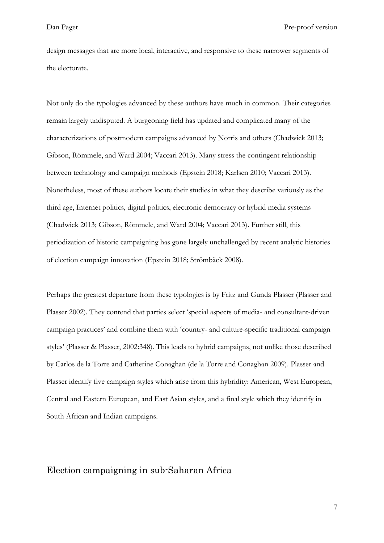design messages that are more local, interactive, and responsive to these narrower segments of the electorate.

Not only do the typologies advanced by these authors have much in common. Their categories remain largely undisputed. A burgeoning field has updated and complicated many of the characterizations of postmodern campaigns advanced by Norris and others (Chadwick 2013; Gibson, Römmele, and Ward 2004; Vaccari 2013). Many stress the contingent relationship between technology and campaign methods (Epstein 2018; Karlsen 2010; Vaccari 2013). Nonetheless, most of these authors locate their studies in what they describe variously as the third age, Internet politics, digital politics, electronic democracy or hybrid media systems (Chadwick 2013; Gibson, Römmele, and Ward 2004; Vaccari 2013). Further still, this periodization of historic campaigning has gone largely unchallenged by recent analytic histories of election campaign innovation (Epstein 2018; Strömbäck 2008).

Perhaps the greatest departure from these typologies is by Fritz and Gunda Plasser (Plasser and Plasser 2002). They contend that parties select 'special aspects of media- and consultant-driven campaign practices' and combine them with 'country- and culture-specific traditional campaign styles' (Plasser & Plasser, 2002:348). This leads to hybrid campaigns, not unlike those described by Carlos de la Torre and Catherine Conaghan (de la Torre and Conaghan 2009). Plasser and Plasser identify five campaign styles which arise from this hybridity: American, West European, Central and Eastern European, and East Asian styles, and a final style which they identify in South African and Indian campaigns.

# Election campaigning in sub-Saharan Africa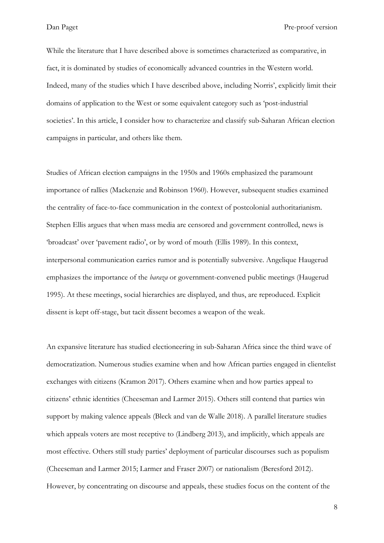While the literature that I have described above is sometimes characterized as comparative, in fact, it is dominated by studies of economically advanced countries in the Western world. Indeed, many of the studies which I have described above, including Norris', explicitly limit their domains of application to the West or some equivalent category such as 'post-industrial societies'. In this article, I consider how to characterize and classify sub-Saharan African election campaigns in particular, and others like them.

Studies of African election campaigns in the 1950s and 1960s emphasized the paramount importance of rallies (Mackenzie and Robinson 1960). However, subsequent studies examined the centrality of face-to-face communication in the context of postcolonial authoritarianism. Stephen Ellis argues that when mass media are censored and government controlled, news is 'broadcast' over 'pavement radio', or by word of mouth (Ellis 1989). In this context, interpersonal communication carries rumor and is potentially subversive. Angelique Haugerud emphasizes the importance of the *baraza* or government-convened public meetings (Haugerud 1995). At these meetings, social hierarchies are displayed, and thus, are reproduced. Explicit dissent is kept off-stage, but tacit dissent becomes a weapon of the weak.

An expansive literature has studied electioneering in sub-Saharan Africa since the third wave of democratization. Numerous studies examine when and how African parties engaged in clientelist exchanges with citizens (Kramon 2017). Others examine when and how parties appeal to citizens' ethnic identities (Cheeseman and Larmer 2015). Others still contend that parties win support by making valence appeals (Bleck and van de Walle 2018). A parallel literature studies which appeals voters are most receptive to (Lindberg 2013), and implicitly, which appeals are most effective. Others still study parties' deployment of particular discourses such as populism (Cheeseman and Larmer 2015; Larmer and Fraser 2007) or nationalism (Beresford 2012). However, by concentrating on discourse and appeals, these studies focus on the content of the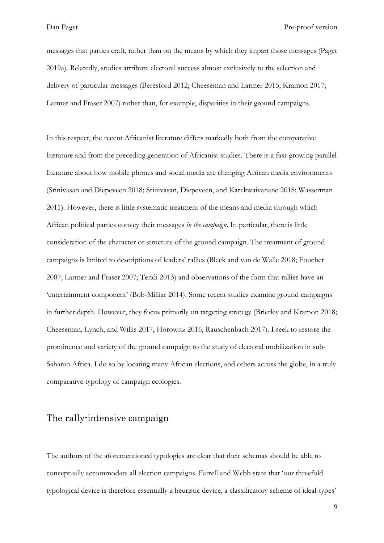messages that parties craft, rather than on the means by which they impart those messages (Paget 2019a). Relatedly, studies attribute electoral success almost exclusively to the selection and delivery of particular messages (Beresford 2012; Cheeseman and Larmer 2015; Kramon 2017; Larmer and Fraser 2007) rather than, for example, disparities in their ground campaigns.

In this respect, the recent Africanist literature differs markedly both from the comparative literature and from the preceding generation of Africanist studies. There is a fast-growing parallel literature about how mobile phones and social media are changing African media environments (Srinivasan and Diepeveen 2018; Srinivasan, Diepeveen, and Karekwaivanane 2018; Wasserman 2011). However, there is little systematic treatment of the means and media through which African political parties convey their messages *in the campaign*. In particular, there is little consideration of the character or structure of the ground campaign. The treatment of ground campaigns is limited to descriptions of leaders' rallies (Bleck and van de Walle 2018; Foucher 2007; Larmer and Fraser 2007; Tendi 2013) and observations of the form that rallies have an 'entertainment component' (Bob-Milliar 2014). Some recent studies examine ground campaigns in further depth. However, they focus primarily on targeting strategy (Brierley and Kramon 2018; Cheeseman, Lynch, and Willis 2017; Horowitz 2016; Rauschenbach 2017). I seek to restore the prominence and variety of the ground campaign to the study of electoral mobilization in sub-Saharan Africa. I do so by locating many African elections, and others across the globe, in a truly comparative typology of campaign ecologies.

#### The rally-intensive campaign

The authors of the aforementioned typologies are clear that their schemas should be able to conceptually accommodate all election campaigns. Farrell and Webb state that 'our threefold typological device is therefore essentially a heuristic device, a classificatory scheme of ideal-types'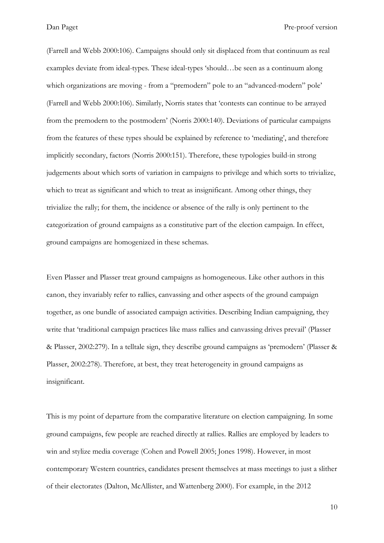(Farrell and Webb 2000:106). Campaigns should only sit displaced from that continuum as real examples deviate from ideal-types. These ideal-types 'should…be seen as a continuum along which organizations are moving - from a "premodern" pole to an "advanced-modern" pole' (Farrell and Webb 2000:106). Similarly, Norris states that 'contests can continue to be arrayed from the premodern to the postmodern' (Norris 2000:140). Deviations of particular campaigns from the features of these types should be explained by reference to 'mediating', and therefore implicitly secondary, factors (Norris 2000:151). Therefore, these typologies build-in strong judgements about which sorts of variation in campaigns to privilege and which sorts to trivialize, which to treat as significant and which to treat as insignificant. Among other things, they trivialize the rally; for them, the incidence or absence of the rally is only pertinent to the categorization of ground campaigns as a constitutive part of the election campaign. In effect, ground campaigns are homogenized in these schemas.

Even Plasser and Plasser treat ground campaigns as homogeneous. Like other authors in this canon, they invariably refer to rallies, canvassing and other aspects of the ground campaign together, as one bundle of associated campaign activities. Describing Indian campaigning, they write that 'traditional campaign practices like mass rallies and canvassing drives prevail' (Plasser & Plasser, 2002:279). In a telltale sign, they describe ground campaigns as 'premodern' (Plasser & Plasser, 2002:278). Therefore, at best, they treat heterogeneity in ground campaigns as insignificant.

This is my point of departure from the comparative literature on election campaigning. In some ground campaigns, few people are reached directly at rallies. Rallies are employed by leaders to win and stylize media coverage (Cohen and Powell 2005; Jones 1998). However, in most contemporary Western countries, candidates present themselves at mass meetings to just a slither of their electorates (Dalton, McAllister, and Wattenberg 2000). For example, in the 2012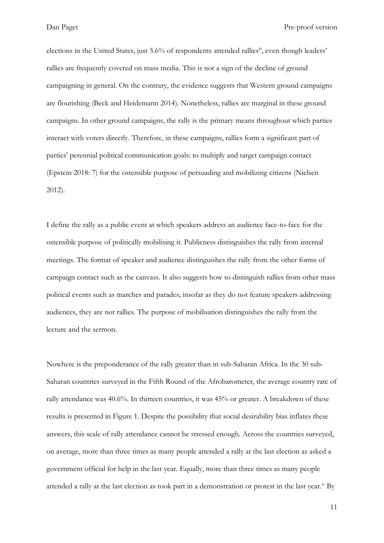elections in the United States, just 5.6% of respondents attended rallies<sup>iii</sup>, even though leaders' rallies are frequently covered on mass media. This is not a sign of the decline of ground campaigning in general. On the contrary, the evidence suggests that Western ground campaigns are flourishing (Beck and Heidemann 2014). Nonetheless, rallies are marginal in these ground campaigns. In other ground campaigns, the rally is the primary means throughout which parties interact with voters directly. Therefore, in these campaigns, rallies form a significant part of parties' perennial political communication goals: to multiply and target campaign contact (Epstein 2018: 7) for the ostensible purpose of persuading and mobilizing citizens (Nielsen 2012).

I define the rally as a public event at which speakers address an audience face-to-face for the ostensible purpose of politically mobilising it. Publicness distinguishes the rally from internal meetings. The format of speaker and audience distinguishes the rally from the other forms of campaign contact such as the canvass. It also suggests how to distinguish rallies from other mass political events such as marches and parades; insofar as they do not feature speakers addressing audiences, they are not rallies. The purpose of mobilisation distinguishes the rally from the lecture and the sermon.

Nowhere is the preponderance of the rally greater than in sub-Saharan Africa. In the 30 sub-Saharan countries surveyed in the Fifth Round of the Afrobarometer, the average country rate of rally attendance was 40.6%. In thirteen countries, it was 45% or greater. A breakdown of these results is presented in [Figure 1.](#page-23-0) Despite the possibility that social desirability bias inflates these answers, this scale of rally attendance cannot be stressed enough. Across the countries surveyed, on average, more than three times as many people attended a rally at the last election as asked a government official for help in the last year. Equally, more than three times as many people attended a rally at the last election as took part in a demonstration or protest in the last year.<sup>iv</sup> By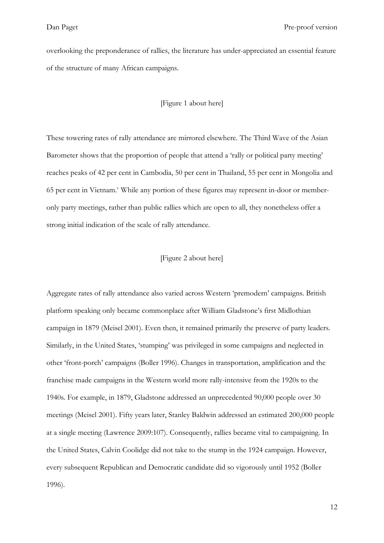overlooking the preponderance of rallies, the literature has under-appreciated an essential feature of the structure of many African campaigns.

#### [\[Figure 1](#page-23-0) about here]

These towering rates of rally attendance are mirrored elsewhere. The Third Wave of the Asian Barometer shows that the proportion of people that attend a 'rally or political party meeting' reaches peaks of 42 per cent in Cambodia, 50 per cent in Thailand, 55 per cent in Mongolia and 65 per cent in Vietnam.<sup>v</sup> While any portion of these figures may represent in-door or memberonly party meetings, rather than public rallies which are open to all, they nonetheless offer a strong initial indication of the scale of rally attendance.

#### [Figure 2 about here]

Aggregate rates of rally attendance also varied across Western 'premodern' campaigns. British platform speaking only became commonplace after William Gladstone's first Midlothian campaign in 1879 (Meisel 2001). Even then, it remained primarily the preserve of party leaders. Similarly, in the United States, 'stumping' was privileged in some campaigns and neglected in other 'front-porch' campaigns (Boller 1996). Changes in transportation, amplification and the franchise made campaigns in the Western world more rally-intensive from the 1920s to the 1940s. For example, in 1879, Gladstone addressed an unprecedented 90,000 people over 30 meetings (Meisel 2001). Fifty years later, Stanley Baldwin addressed an estimated 200,000 people at a single meeting (Lawrence 2009:107). Consequently, rallies became vital to campaigning. In the United States, Calvin Coolidge did not take to the stump in the 1924 campaign. However, every subsequent Republican and Democratic candidate did so vigorously until 1952 (Boller 1996).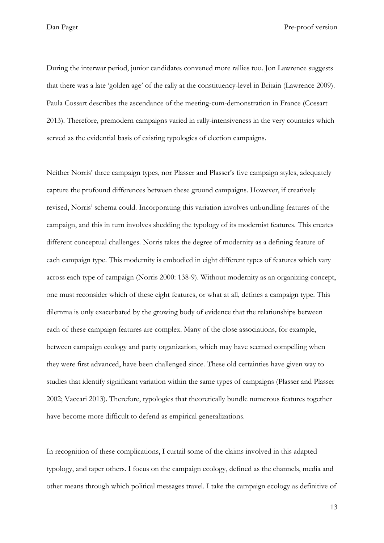During the interwar period, junior candidates convened more rallies too. Jon Lawrence suggests that there was a late 'golden age' of the rally at the constituency-level in Britain (Lawrence 2009). Paula Cossart describes the ascendance of the meeting-cum-demonstration in France (Cossart 2013). Therefore, premodern campaigns varied in rally-intensiveness in the very countries which served as the evidential basis of existing typologies of election campaigns.

Neither Norris' three campaign types, nor Plasser and Plasser's five campaign styles, adequately capture the profound differences between these ground campaigns. However, if creatively revised, Norris' schema could. Incorporating this variation involves unbundling features of the campaign, and this in turn involves shedding the typology of its modernist features. This creates different conceptual challenges. Norris takes the degree of modernity as a defining feature of each campaign type. This modernity is embodied in eight different types of features which vary across each type of campaign (Norris 2000: 138-9). Without modernity as an organizing concept, one must reconsider which of these eight features, or what at all, defines a campaign type. This dilemma is only exacerbated by the growing body of evidence that the relationships between each of these campaign features are complex. Many of the close associations, for example, between campaign ecology and party organization, which may have seemed compelling when they were first advanced, have been challenged since. These old certainties have given way to studies that identify significant variation within the same types of campaigns (Plasser and Plasser 2002; Vaccari 2013). Therefore, typologies that theoretically bundle numerous features together have become more difficult to defend as empirical generalizations.

In recognition of these complications, I curtail some of the claims involved in this adapted typology, and taper others. I focus on the campaign ecology, defined as the channels, media and other means through which political messages travel. I take the campaign ecology as definitive of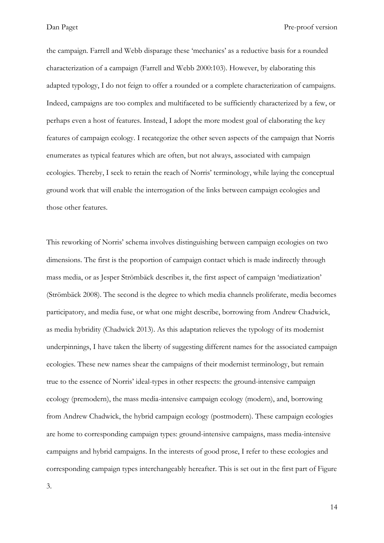the campaign. Farrell and Webb disparage these 'mechanics' as a reductive basis for a rounded characterization of a campaign (Farrell and Webb 2000:103). However, by elaborating this adapted typology, I do not feign to offer a rounded or a complete characterization of campaigns. Indeed, campaigns are too complex and multifaceted to be sufficiently characterized by a few, or perhaps even a host of features. Instead, I adopt the more modest goal of elaborating the key features of campaign ecology. I recategorize the other seven aspects of the campaign that Norris enumerates as typical features which are often, but not always, associated with campaign ecologies. Thereby, I seek to retain the reach of Norris' terminology, while laying the conceptual ground work that will enable the interrogation of the links between campaign ecologies and those other features.

This reworking of Norris' schema involves distinguishing between campaign ecologies on two dimensions. The first is the proportion of campaign contact which is made indirectly through mass media, or as Jesper Strömbäck describes it, the first aspect of campaign 'mediatization' (Strömbäck 2008). The second is the degree to which media channels proliferate, media becomes participatory, and media fuse, or what one might describe, borrowing from Andrew Chadwick, as media hybridity (Chadwick 2013). As this adaptation relieves the typology of its modernist underpinnings, I have taken the liberty of suggesting different names for the associated campaign ecologies. These new names shear the campaigns of their modernist terminology, but remain true to the essence of Norris' ideal-types in other respects: the ground-intensive campaign ecology (premodern), the mass media-intensive campaign ecology (modern), and, borrowing from Andrew Chadwick, the hybrid campaign ecology (postmodern). These campaign ecologies are home to corresponding campaign types: ground-intensive campaigns, mass media-intensive campaigns and hybrid campaigns. In the interests of good prose, I refer to these ecologies and corresponding campaign types interchangeably hereafter. This is set out in the first part of [Figure](#page-25-0) 

[3.](#page-25-0)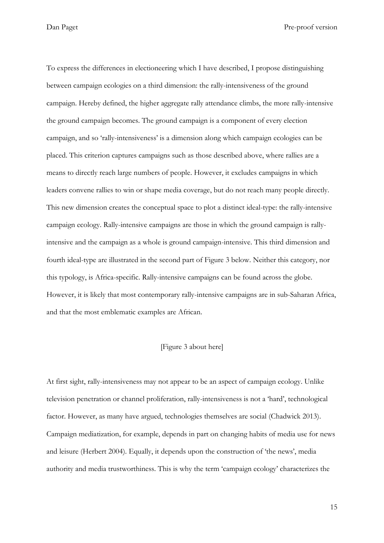To express the differences in electioneering which I have described, I propose distinguishing between campaign ecologies on a third dimension: the rally-intensiveness of the ground campaign. Hereby defined, the higher aggregate rally attendance climbs, the more rally-intensive the ground campaign becomes. The ground campaign is a component of every election campaign, and so 'rally-intensiveness' is a dimension along which campaign ecologies can be placed. This criterion captures campaigns such as those described above, where rallies are a means to directly reach large numbers of people. However, it excludes campaigns in which leaders convene rallies to win or shape media coverage, but do not reach many people directly. This new dimension creates the conceptual space to plot a distinct ideal-type: the rally-intensive campaign ecology. Rally-intensive campaigns are those in which the ground campaign is rallyintensive and the campaign as a whole is ground campaign-intensive. This third dimension and fourth ideal-type are illustrated in the second part of [Figure 3](#page-25-0) below. Neither this category, nor this typology, is Africa-specific. Rally-intensive campaigns can be found across the globe. However, it is likely that most contemporary rally-intensive campaigns are in sub-Saharan Africa, and that the most emblematic examples are African.

#### [\[Figure 3](#page-25-0) about here]

At first sight, rally-intensiveness may not appear to be an aspect of campaign ecology. Unlike television penetration or channel proliferation, rally-intensiveness is not a 'hard', technological factor. However, as many have argued, technologies themselves are social (Chadwick 2013). Campaign mediatization, for example, depends in part on changing habits of media use for news and leisure (Herbert 2004). Equally, it depends upon the construction of 'the news', media authority and media trustworthiness. This is why the term 'campaign ecology' characterizes the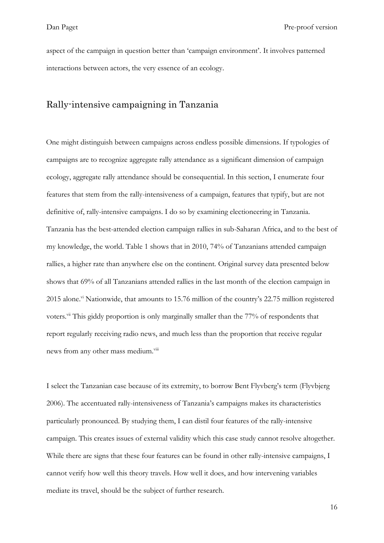aspect of the campaign in question better than 'campaign environment'. It involves patterned interactions between actors, the very essence of an ecology.

### Rally-intensive campaigning in Tanzania

One might distinguish between campaigns across endless possible dimensions. If typologies of campaigns are to recognize aggregate rally attendance as a significant dimension of campaign ecology, aggregate rally attendance should be consequential. In this section, I enumerate four features that stem from the rally-intensiveness of a campaign, features that typify, but are not definitive of, rally-intensive campaigns. I do so by examining electioneering in Tanzania. Tanzania has the best-attended election campaign rallies in sub-Saharan Africa, and to the best of my knowledge, the world. [Table 1](#page-26-0) shows that in 2010, 74% of Tanzanians attended campaign rallies, a higher rate than anywhere else on the continent. Original survey data presented below shows that 69% of all Tanzanians attended rallies in the last month of the election campaign in 2015 alone.<sup>vi</sup> Nationwide, that amounts to 15.76 million of the country's 22.75 million registered voters.<sup>vii</sup> This giddy proportion is only marginally smaller than the 77% of respondents that report regularly receiving radio news, and much less than the proportion that receive regular news from any other mass medium.<sup>viii</sup>

I select the Tanzanian case because of its extremity, to borrow Bent Flyvberg's term (Flyvbjerg 2006). The accentuated rally-intensiveness of Tanzania's campaigns makes its characteristics particularly pronounced. By studying them, I can distil four features of the rally-intensive campaign. This creates issues of external validity which this case study cannot resolve altogether. While there are signs that these four features can be found in other rally-intensive campaigns, I cannot verify how well this theory travels. How well it does, and how intervening variables mediate its travel, should be the subject of further research.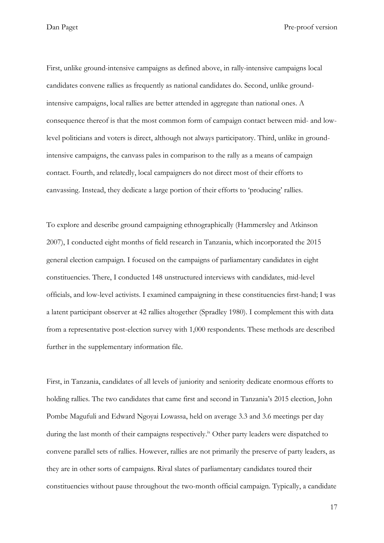First, unlike ground-intensive campaigns as defined above, in rally-intensive campaigns local candidates convene rallies as frequently as national candidates do. Second, unlike groundintensive campaigns, local rallies are better attended in aggregate than national ones. A consequence thereof is that the most common form of campaign contact between mid- and lowlevel politicians and voters is direct, although not always participatory. Third, unlike in groundintensive campaigns, the canvass pales in comparison to the rally as a means of campaign contact. Fourth, and relatedly, local campaigners do not direct most of their efforts to canvassing. Instead, they dedicate a large portion of their efforts to 'producing' rallies.

To explore and describe ground campaigning ethnographically (Hammersley and Atkinson 2007), I conducted eight months of field research in Tanzania, which incorporated the 2015 general election campaign. I focused on the campaigns of parliamentary candidates in eight constituencies. There, I conducted 148 unstructured interviews with candidates, mid-level officials, and low-level activists. I examined campaigning in these constituencies first-hand; I was a latent participant observer at 42 rallies altogether (Spradley 1980). I complement this with data from a representative post-election survey with 1,000 respondents. These methods are described further in the supplementary information file.

First, in Tanzania, candidates of all levels of juniority and seniority dedicate enormous efforts to holding rallies. The two candidates that came first and second in Tanzania's 2015 election, John Pombe Magufuli and Edward Ngoyai Lowassa, held on average 3.3 and 3.6 meetings per day during the last month of their campaigns respectively.<sup>ix</sup> Other party leaders were dispatched to convene parallel sets of rallies. However, rallies are not primarily the preserve of party leaders, as they are in other sorts of campaigns. Rival slates of parliamentary candidates toured their constituencies without pause throughout the two-month official campaign. Typically, a candidate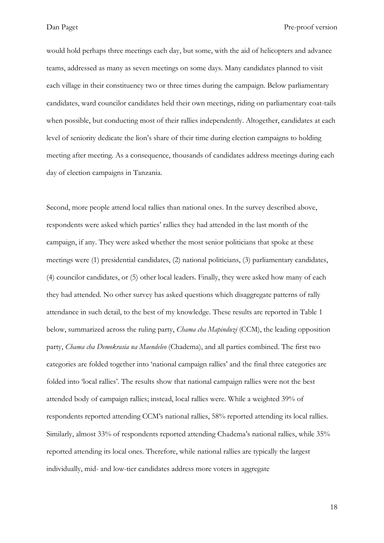would hold perhaps three meetings each day, but some, with the aid of helicopters and advance teams, addressed as many as seven meetings on some days. Many candidates planned to visit each village in their constituency two or three times during the campaign. Below parliamentary candidates, ward councilor candidates held their own meetings, riding on parliamentary coat-tails when possible, but conducting most of their rallies independently. Altogether, candidates at each level of seniority dedicate the lion's share of their time during election campaigns to holding meeting after meeting. As a consequence, thousands of candidates address meetings during each day of election campaigns in Tanzania.

Second, more people attend local rallies than national ones. In the survey described above, respondents were asked which parties' rallies they had attended in the last month of the campaign, if any. They were asked whether the most senior politicians that spoke at these meetings were (1) presidential candidates, (2) national politicians, (3) parliamentary candidates, (4) councilor candidates, or (5) other local leaders. Finally, they were asked how many of each they had attended. No other survey has asked questions which disaggregate patterns of rally attendance in such detail, to the best of my knowledge. These results are reported in [Table 1](#page-26-0) below, summarized across the ruling party, *Chama cha Mapinduzi* (CCM), the leading opposition party, *Chama cha Demokrasia na Maendeleo* (Chadema), and all parties combined. The first two categories are folded together into 'national campaign rallies' and the final three categories are folded into 'local rallies'. The results show that national campaign rallies were not the best attended body of campaign rallies; instead, local rallies were. While a weighted 39% of respondents reported attending CCM's national rallies, 58% reported attending its local rallies. Similarly, almost 33% of respondents reported attending Chadema's national rallies, while 35% reported attending its local ones. Therefore, while national rallies are typically the largest individually, mid- and low-tier candidates address more voters in aggregate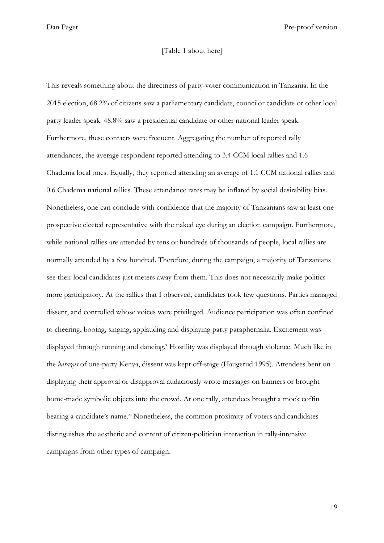#### [\[Table 1](#page-26-0) about here]

This reveals something about the directness of party-voter communication in Tanzania. In the 2015 election, 68.2% of citizens saw a parliamentary candidate, councilor candidate or other local party leader speak. 48.8% saw a presidential candidate or other national leader speak. Furthermore, these contacts were frequent. Aggregating the number of reported rally attendances, the average respondent reported attending to 3.4 CCM local rallies and 1.6 Chadema local ones. Equally, they reported attending an average of 1.1 CCM national rallies and 0.6 Chadema national rallies. These attendance rates may be inflated by social desirability bias. Nonetheless, one can conclude with confidence that the majority of Tanzanians saw at least one prospective elected representative with the naked eye during an election campaign. Furthermore, while national rallies are attended by tens or hundreds of thousands of people, local rallies are normally attended by a few hundred. Therefore, during the campaign, a majority of Tanzanians see their local candidates just meters away from them. This does not necessarily make politics more participatory. At the rallies that I observed, candidates took few questions. Parties managed dissent, and controlled whose voices were privileged. Audience participation was often confined to cheering, booing, singing, applauding and displaying party paraphernalia. Excitement was displayed through running and dancing.<sup>x</sup> Hostility was displayed through violence. Much like in the *barazas* of one-party Kenya, dissent was kept off-stage (Haugerud 1995). Attendees bent on displaying their approval or disapproval audaciously wrote messages on banners or brought home-made symbolic objects into the crowd. At one rally, attendees brought a mock coffin bearing a candidate's name.<sup>xi</sup> Nonetheless, the common proximity of voters and candidates distinguishes the aesthetic and content of citizen-politician interaction in rally-intensive campaigns from other types of campaign.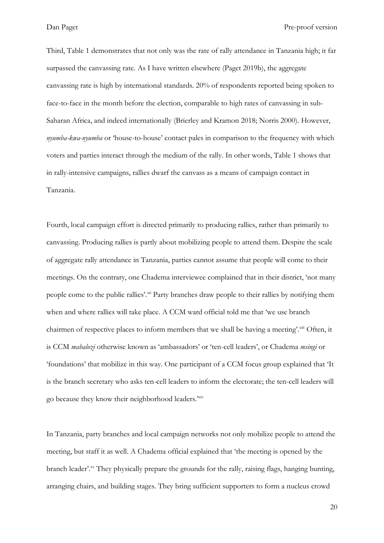Third, [Table 1](#page-26-0) demonstrates that not only was the rate of rally attendance in Tanzania high; it far surpassed the canvassing rate. As I have written elsewhere (Paget 2019b), the aggregate canvassing rate is high by international standards. 20% of respondents reported being spoken to face-to-face in the month before the election, comparable to high rates of canvassing in sub-Saharan Africa, and indeed internationally (Brierley and Kramon 2018; Norris 2000). However, *nyumba-kwa-nyumba* or 'house-to-house' contact pales in comparison to the frequency with which voters and parties interact through the medium of the rally. In other words, [Table 1](#page-26-0) shows that in rally-intensive campaigns, rallies dwarf the canvass as a means of campaign contact in Tanzania.

Fourth, local campaign effort is directed primarily to producing rallies, rather than primarily to canvassing. Producing rallies is partly about mobilizing people to attend them. Despite the scale of aggregate rally attendance in Tanzania, parties cannot assume that people will come to their meetings. On the contrary, one Chadema interviewee complained that in their district, 'not many people come to the public rallies'.<sup>xii</sup> Party branches draw people to their rallies by notifying them when and where rallies will take place. A CCM ward official told me that 'we use branch chairmen of respective places to inform members that we shall be having a meeting'. Xiii Often, it is CCM *mabalozi* otherwise known as 'ambassadors' or 'ten-cell leaders', or Chadema *msingi* or 'foundations' that mobilize in this way. One participant of a CCM focus group explained that 'It is the branch secretary who asks ten-cell leaders to inform the electorate; the ten-cell leaders will go because they know their neighborhood leaders.'xiv

In Tanzania, party branches and local campaign networks not only mobilize people to attend the meeting, but staff it as well. A Chadema official explained that 'the meeting is opened by the branch leader'.<sup>xv</sup> They physically prepare the grounds for the rally, raising flags, hanging bunting, arranging chairs, and building stages. They bring sufficient supporters to form a nucleus crowd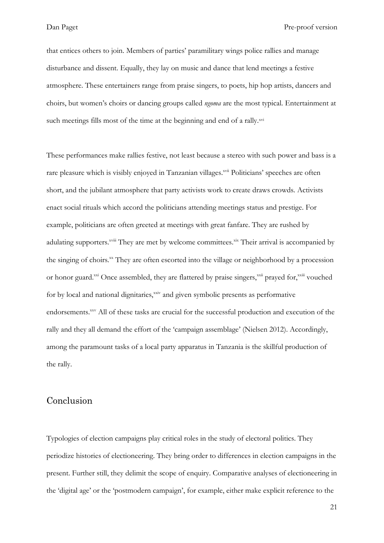that entices others to join. Members of parties' paramilitary wings police rallies and manage disturbance and dissent. Equally, they lay on music and dance that lend meetings a festive atmosphere. These entertainers range from praise singers, to poets, hip hop artists, dancers and choirs, but women's choirs or dancing groups called *ngoma* are the most typical. Entertainment at such meetings fills most of the time at the beginning and end of a rally.xvi

These performances make rallies festive, not least because a stereo with such power and bass is a rare pleasure which is visibly enjoyed in Tanzanian villages.<sup>xvii</sup> Politicians' speeches are often short, and the jubilant atmosphere that party activists work to create draws crowds. Activists enact social rituals which accord the politicians attending meetings status and prestige. For example, politicians are often greeted at meetings with great fanfare. They are rushed by adulating supporters.<sup>xviii</sup> They are met by welcome committees.<sup>xix</sup> Their arrival is accompanied by the singing of choirs.<sup>xx</sup> They are often escorted into the village or neighborhood by a procession or honor guard.<sup>xxi</sup> Once assembled, they are flattered by praise singers,<sup>xxii</sup> prayed for,<sup>xxiii</sup> vouched for by local and national dignitaries,<sup>xxiv</sup> and given symbolic presents as performative endorsements.<sup>xxv</sup> All of these tasks are crucial for the successful production and execution of the rally and they all demand the effort of the 'campaign assemblage' (Nielsen 2012). Accordingly, among the paramount tasks of a local party apparatus in Tanzania is the skillful production of the rally.

## Conclusion

Typologies of election campaigns play critical roles in the study of electoral politics. They periodize histories of electioneering. They bring order to differences in election campaigns in the present. Further still, they delimit the scope of enquiry. Comparative analyses of electioneering in the 'digital age' or the 'postmodern campaign', for example, either make explicit reference to the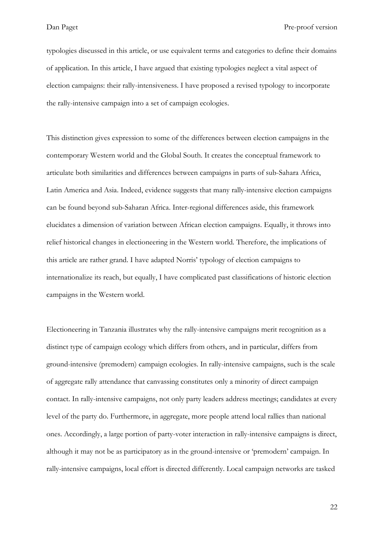typologies discussed in this article, or use equivalent terms and categories to define their domains of application. In this article, I have argued that existing typologies neglect a vital aspect of election campaigns: their rally-intensiveness. I have proposed a revised typology to incorporate the rally-intensive campaign into a set of campaign ecologies.

This distinction gives expression to some of the differences between election campaigns in the contemporary Western world and the Global South. It creates the conceptual framework to articulate both similarities and differences between campaigns in parts of sub-Sahara Africa, Latin America and Asia. Indeed, evidence suggests that many rally-intensive election campaigns can be found beyond sub-Saharan Africa. Inter-regional differences aside, this framework elucidates a dimension of variation between African election campaigns. Equally, it throws into relief historical changes in electioneering in the Western world. Therefore, the implications of this article are rather grand. I have adapted Norris' typology of election campaigns to internationalize its reach, but equally, I have complicated past classifications of historic election campaigns in the Western world.

Electioneering in Tanzania illustrates why the rally-intensive campaigns merit recognition as a distinct type of campaign ecology which differs from others, and in particular, differs from ground-intensive (premodern) campaign ecologies. In rally-intensive campaigns, such is the scale of aggregate rally attendance that canvassing constitutes only a minority of direct campaign contact. In rally-intensive campaigns, not only party leaders address meetings; candidates at every level of the party do. Furthermore, in aggregate, more people attend local rallies than national ones. Accordingly, a large portion of party-voter interaction in rally-intensive campaigns is direct, although it may not be as participatory as in the ground-intensive or 'premodern' campaign. In rally-intensive campaigns, local effort is directed differently. Local campaign networks are tasked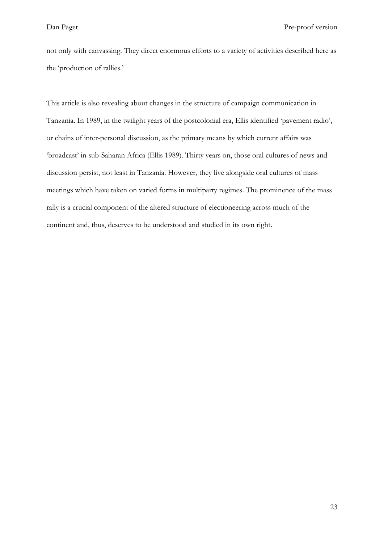not only with canvassing. They direct enormous efforts to a variety of activities described here as the 'production of rallies.'

This article is also revealing about changes in the structure of campaign communication in Tanzania. In 1989, in the twilight years of the postcolonial era, Ellis identified 'pavement radio', or chains of inter-personal discussion, as the primary means by which current affairs was 'broadcast' in sub-Saharan Africa (Ellis 1989). Thirty years on, those oral cultures of news and discussion persist, not least in Tanzania. However, they live alongside oral cultures of mass meetings which have taken on varied forms in multiparty regimes. The prominence of the mass rally is a crucial component of the altered structure of electioneering across much of the continent and, thus, deserves to be understood and studied in its own right.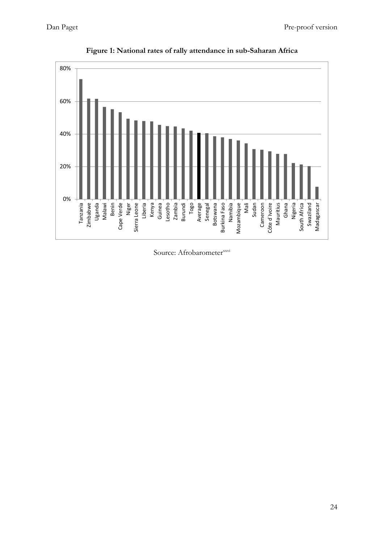<span id="page-23-0"></span>

**Figure 1: National rates of rally attendance in sub-Saharan Africa**

Source: Afrobarometer<sup>xxvi</sup>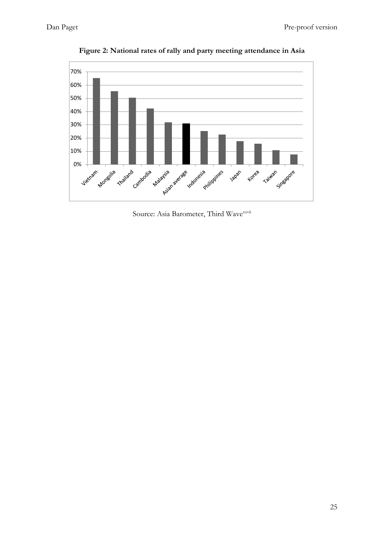

**Figure 2: National rates of rally and party meeting attendance in Asia**

Source: Asia Barometer, Third Wavexxvii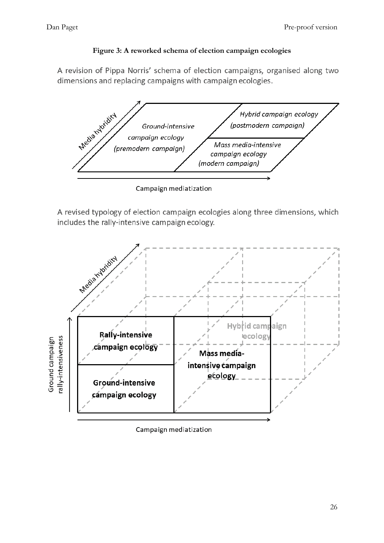### **Figure 3: A reworked schema of election campaign ecologies**

<span id="page-25-0"></span>A revision of Pippa Norris' schema of election campaigns, organised along two dimensions and replacing campaigns with campaign ecologies.



Campaign mediatization

A revised typology of election campaign ecologies along three dimensions, which includes the rally-intensive campaign ecology.



Campaign mediatization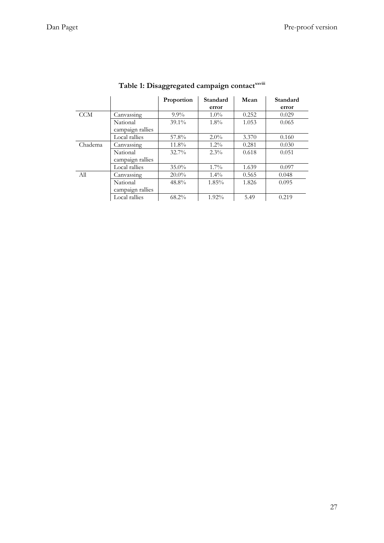<span id="page-26-0"></span>

|            |                              | Proportion | Standard<br>error | Mean  | Standard<br>error |
|------------|------------------------------|------------|-------------------|-------|-------------------|
| <b>CCM</b> | Canvassing                   | $9.9\%$    | $1.0\%$           | 0.252 | 0.029             |
|            | National                     | $39.1\%$   | $1.8\%$           | 1.053 | 0.065             |
|            | campaign rallies             |            |                   |       |                   |
|            | Local rallies                | 57.8%      | $2.0\%$           | 3.370 | 0.160             |
| Chadema    | Canvassing                   | 11.8%      | $1.2\%$           | 0.281 | 0.030             |
|            | National<br>campaign rallies | $32.7\%$   | $2.3\%$           | 0.618 | 0.051             |
|            | Local rallies                | $35.0\%$   | $1.7\%$           | 1.639 | 0.097             |
| All        | Canvassing                   | $20.0\%$   | $1.4\%$           | 0.565 | 0.048             |
|            | National<br>campaign rallies | 48.8%      | $1.85\%$          | 1.826 | 0.095             |
|            | Local rallies                | 68.2%      | 1.92%             | 5.49  | 0.219             |

# **Table 1: Disaggregated campaign contactxxviii**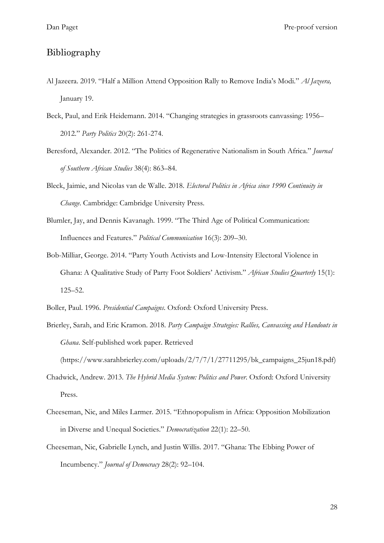# Bibliography

- Al Jazeera. 2019. "Half a Million Attend Opposition Rally to Remove India's Modi." *Al Jazeera,* January 19.
- Beck, Paul, and Erik Heidemann. 2014. "Changing strategies in grassroots canvassing: 1956– 2012." *Party Politics* 20(2): 261-274.
- Beresford, Alexander. 2012. "The Politics of Regenerative Nationalism in South Africa." *Journal of Southern African Studies* 38(4): 863–84.
- Bleck, Jaimie, and Nicolas van de Walle. 2018. *Electoral Politics in Africa since 1990 Continuity in Change*. Cambridge: Cambridge University Press.
- Blumler, Jay, and Dennis Kavanagh. 1999. "The Third Age of Political Communication: Influences and Features." *Political Communication* 16(3): 209–30.
- Bob-Milliar, George. 2014. "Party Youth Activists and Low-Intensity Electoral Violence in Ghana: A Qualitative Study of Party Foot Soldiers' Activism." *African Studies Quarterly* 15(1): 125–52.
- Boller, Paul. 1996. *Presidential Campaigns*. Oxford: Oxford University Press.
- Brierley, Sarah, and Eric Kramon. 2018. *Party Campaign Strategies: Rallies, Canvassing and Handouts in Ghana*. Self-published work paper. Retrieved (https://www.sarahbrierley.com/uploads/2/7/7/1/27711295/bk\_campaigns\_25jun18.pdf)
- Chadwick, Andrew. 2013. *The Hybrid Media System: Politics and Power*. Oxford: Oxford University Press.
- Cheeseman, Nic, and Miles Larmer. 2015. "Ethnopopulism in Africa: Opposition Mobilization in Diverse and Unequal Societies." *Democratization* 22(1): 22–50.
- Cheeseman, Nic, Gabrielle Lynch, and Justin Willis. 2017. "Ghana: The Ebbing Power of Incumbency." *Journal of Democracy* 28(2): 92–104.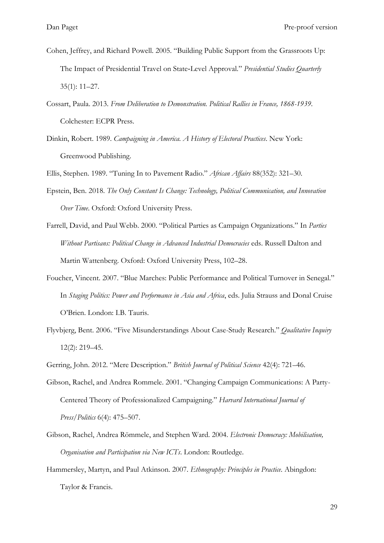- Cohen, Jeffrey, and Richard Powell. 2005. "Building Public Support from the Grassroots Up: The Impact of Presidential Travel on State‐Level Approval." *Presidential Studies Quarterly* 35(1): 11–27.
- Cossart, Paula. 2013. *From Deliberation to Demonstration. Political Rallies in France, 1868-1939*. Colchester: ECPR Press.
- Dinkin, Robert. 1989. *Campaigning in America. A History of Electoral Practices*. New York: Greenwood Publishing.

Ellis, Stephen. 1989. "Tuning In to Pavement Radio." *African Affairs* 88(352): 321–30.

- Epstein, Ben. 2018. *The Only Constant Is Change: Technology, Political Communication, and Innovation Over Time*. Oxford: Oxford University Press.
- Farrell, David, and Paul Webb. 2000. "Political Parties as Campaign Organizations." In *Parties Without Partisans: Political Change in Advanced Industrial Democracies* eds. Russell Dalton and Martin Wattenberg. Oxford: Oxford University Press, 102–28.
- Foucher, Vincent. 2007. "Blue Marches: Public Performance and Political Turnover in Senegal." In *Staging Politics: Power and Performance in Asia and Africa*, eds. Julia Strauss and Donal Cruise O'Brien. London: I.B. Tauris.
- Flyvbjerg, Bent. 2006. "Five Misunderstandings About Case-Study Research." *Qualitative Inquiry* 12(2): 219–45.
- Gerring, John. 2012. "Mere Description." *British Journal of Political Science* 42(4): 721–46.
- Gibson, Rachel, and Andrea Rommele. 2001. "Changing Campaign Communications: A Party-Centered Theory of Professionalized Campaigning." *Harvard International Journal of Press/Politics* 6(4): 475–507.
- Gibson, Rachel, Andrea Römmele, and Stephen Ward. 2004. *Electronic Democracy: Mobilisation, Organisation and Participation via New ICTs*. London: Routledge.
- Hammersley, Martyn, and Paul Atkinson. 2007. *Ethnography: Principles in Practice*. Abingdon: Taylor & Francis.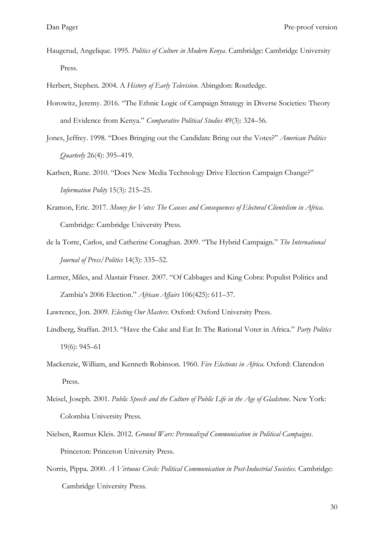Haugerud, Angelique. 1995. *Politics of Culture in Modern Kenya*. Cambridge: Cambridge University Press.

Herbert, Stephen. 2004. A *History of Early Television*. Abingdon: Routledge.

- Horowitz, Jeremy. 2016. "The Ethnic Logic of Campaign Strategy in Diverse Societies: Theory and Evidence from Kenya." *Comparative Political Studies* 49(3): 324–56.
- Jones, Jeffrey. 1998. "Does Bringing out the Candidate Bring out the Votes?" *American Politics Quarterly* 26(4): 395–419.
- Karlsen, Rune. 2010. "Does New Media Technology Drive Election Campaign Change?" *Information Polity* 15(3): 215–25.
- Kramon, Eric. 2017. *Money for Votes: The Causes and Consequences of Electoral Clientelism in Africa*. Cambridge: Cambridge University Press.
- de la Torre, Carlos, and Catherine Conaghan. 2009. "The Hybrid Campaign." *The International Journal of Press/Politics* 14(3): 335–52.
- Larmer, Miles, and Alastair Fraser. 2007. "Of Cabbages and King Cobra: Populist Politics and Zambia's 2006 Election." *African Affairs* 106(425): 611–37.

Lawrence, Jon. 2009. *Electing Our Masters*. Oxford: Oxford University Press.

- Lindberg, Staffan. 2013. "Have the Cake and Eat It: The Rational Voter in Africa." *Party Politics* 19(6): 945–61
- Mackenzie, William, and Kenneth Robinson. 1960. *Five Elections in Africa*. Oxford: Clarendon Press.
- Meisel, Joseph. 2001. *Public Speech and the Culture of Public Life in the Age of Gladstone*. New York: Colombia University Press.
- Nielsen, Rasmus Kleis. 2012. *Ground Wars: Personalized Communication in Political Campaigns*. Princeton: Princeton University Press.
- Norris, Pippa. 2000. *A Virtuous Circle: Political Communication in Post-Industrial Societies*. Cambridge: Cambridge University Press.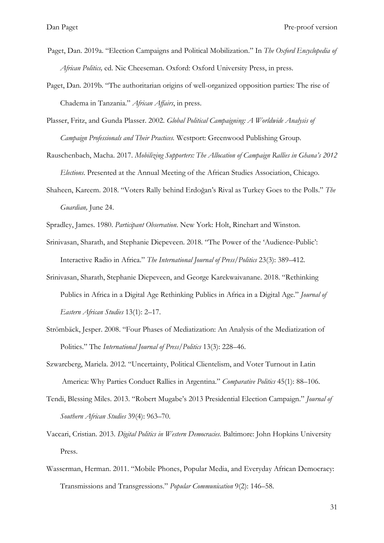- Paget, Dan. 2019a. "[Election Campaigns and Political Mobilization](http://oxfordre.com/politics/page/african-politics/the-oxford-encyclopedia-of-african-politics)." In *The Oxford Encyclopedia of African Politics,* ed. Nic Cheeseman. [Oxford: Oxford University Press, in press.](http://oxfordre.com/politics/page/african-politics/the-oxford-encyclopedia-of-african-politics)
- Paget, Dan. 2019b. "The authoritarian origins of well-organized opposition parties: The rise of Chadema in Tanzania." *African Affairs*, in press.
- Plasser, Fritz, and Gunda Plasser. 2002. *Global Political Campaigning: A Worldwide Analysis of Campaign Professionals and Their Practices.* Westport: Greenwood Publishing Group.
- Rauschenbach, Macha. 2017. *Mobilizing Supporters: The Allocation of Campaign Rallies in Ghana's 2012 Elections*. Presented at the Annual Meeting of the African Studies Association, Chicago.
- Shaheen, Kareem. 2018. "Voters Rally behind Erdoğan's Rival as Turkey Goes to the Polls." *The Guardian,* June 24.
- Spradley, James. 1980. *Participant Observation*. New York: Holt, Rinehart and Winston.
- Srinivasan, Sharath, and Stephanie Diepeveen. 2018. "The Power of the 'Audience-Public': Interactive Radio in Africa." *The International Journal of Press/Politics* 23(3): 389–412.
- Srinivasan, Sharath, Stephanie Diepeveen, and George Karekwaivanane. 2018. "Rethinking Publics in Africa in a Digital Age Rethinking Publics in Africa in a Digital Age." *Journal of Eastern African Studies* 13(1): 2–17.
- Strömbäck, Jesper. 2008. "Four Phases of Mediatization: An Analysis of the Mediatization of Politics." The *International Journal of Press/Politics* 13(3): 228–46.
- Szwarcberg, Mariela. 2012. "Uncertainty, Political Clientelism, and Voter Turnout in Latin America: Why Parties Conduct Rallies in Argentina." *Comparative Politics* 45(1): 88–106.
- Tendi, Blessing Miles. 2013. "Robert Mugabe's 2013 Presidential Election Campaign." *Journal of Southern African Studies* 39(4): 963–70.
- Vaccari, Cristian. 2013. *Digital Politics in Western Democracies*. Baltimore: John Hopkins University Press.
- Wasserman, Herman. 2011. "Mobile Phones, Popular Media, and Everyday African Democracy: Transmissions and Transgressions." *Popular Communication* 9(2): 146–58.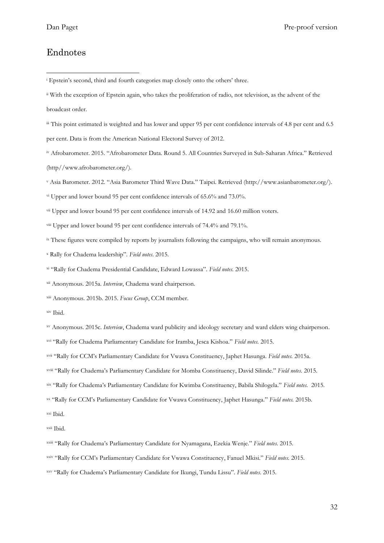#### Endnotes

-

vi Upper and lower bound 95 per cent confidence intervals of 65.6% and 73.0%.

vii Upper and lower bound 95 per cent confidence intervals of 14.92 and 16.60 million voters.

viii Upper and lower bound 95 per cent confidence intervals of 74.4% and 79.1%.

ix These figures were compiled by reports by journalists following the campaigns, who will remain anonymous.

<sup>x</sup> Rally for Chadema leadership". *Field notes*. 2015.

xi "Rally for Chadema Presidential Candidate, Edward Lowassa". *Field notes*. 2015.

xii Anonymous. 2015a. *Interview*, Chadema ward chairperson.

xiii Anonymous. 2015b. 2015. *Focus Group*, CCM member.

xiv Ibid.

xv Anonymous. 2015c. *Interview*, Chadema ward publicity and ideology secretary and ward elders wing chairperson.

xvi "Rally for Chadema Parliamentary Candidate for Iramba, Jesca Kishoa." *Field notes.* 2015.

xvii "Rally for CCM's Parliamentary Candidate for Vwawa Constituency, Japhet Hasunga. *Field notes.* 2015a.

xviii "Rally for Chadema's Parliamentary Candidate for Momba Constituency, David Silinde." *Field notes.* 2015.

xix "Rally for Chadema's Parliamentary Candidate for Kwimba Constituency, Babila Shilogela." *Field notes.* 2015.

xx "Rally for CCM's Parliamentary Candidate for Vwawa Constituency, Japhet Hasunga." *Field notes.* 2015b.

xxi Ibid.

xxii Ibid.

xxiii "Rally for Chadema's Parliamentary Candidate for Nyamagana, Ezekia Wenje." *Field notes.* 2015.

xxiv "Rally for CCM's Parliamentary Candidate for Vwawa Constituency, Fanuel Mkisi." *Field notes.* 2015.

xxv "Rally for Chadema's Parliamentary Candidate for Ikungi, Tundu Lissu". *Field notes*. 2015.

<sup>&</sup>lt;sup>i</sup> Epstein's second, third and fourth categories map closely onto the others' three.

ii With the exception of Epstein again, who takes the proliferation of radio, not television, as the advent of the broadcast order.

iii This point estimated is weighted and has lower and upper 95 per cent confidence intervals of 4.8 per cent and 6.5 per cent. Data is from the American National Electoral Survey of 2012.

iv Afrobarometer. 2015. "Afrobarometer Data. Round 5. All Countries Surveyed in Sub-Saharan Africa." Retrieved (http//www.afrobarometer.org/).

<sup>v</sup> Asia Barometer. 2012. "Asia Barometer Third Wave Data." Taipei. Retrieved (http://www.asianbarometer.org/).